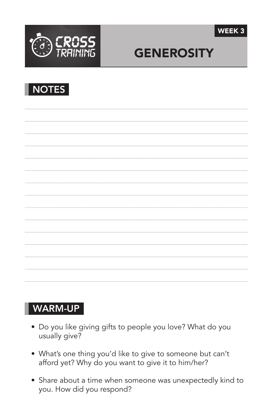



# **GENEROSITY**



### WARM-UP

- Do you like giving gifts to people you love? What do you usually give?
- What's one thing you'd like to give to someone but can't afford yet? Why do you want to give it to him/her?
- Share about a time when someone was unexpectedly kind to you. How did you respond?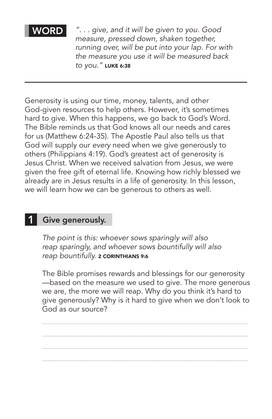#### **WORD**

*". . . give, and it will be given to you. Good measure, pressed down, shaken together, running over, will be put into your lap. For with the measure you use it will be measured back to you."* Luke 6:38

Generosity is using our time, money, talents, and other God-given resources to help others. However, it's sometimes hard to give. When this happens, we go back to God's Word. The Bible reminds us that God knows all our needs and cares for us (Matthew 6:24-35). The Apostle Paul also tells us that God will supply our *every* need when we give generously to others (Philippians 4:19). God's greatest act of generosity is Jesus Christ. When we received salvation from Jesus, we were given the free gift of eternal life. Knowing how richly blessed we already are in Jesus results in a life of generosity. In this lesson, we will learn how we can be generous to others as well.

#### Give generously. 1

*The point is this: whoever sows sparingly will also reap sparingly, and whoever sows bountifully will also*  reap bountifully. **2 CORINTHIANS 9:6** 

The Bible promises rewards and blessings for our generosity —based on the measure we used to give. The more generous we are, the more we will reap. Why do you think it's hard to give generously? Why is it hard to give when we don't look to God as our source?

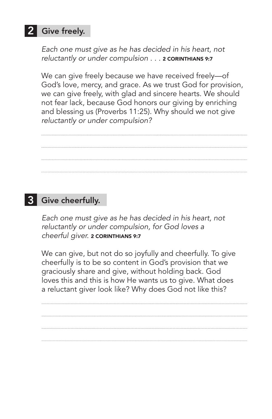## 2 Give freely.

*Each one must give as he has decided in his heart, not reluctantly or under compulsion . . . 2 CORINTHIANS 9:7* 

We can give freely because we have received freely—of God's love, mercy, and grace. As we trust God for provision, we can give freely, with glad and sincere hearts. We should not fear lack, because God honors our giving by enriching and blessing us (Proverbs 11:25). Why should we not give *reluctantly or under compulsion?*

## **3** Give cheerfully.

*Each one must give as he has decided in his heart, not reluctantly or under compulsion, for God loves a cheerful giver.* 2 Corinthians 9:7

We can give, but not do so joyfully and cheerfully. To give cheerfully is to be so content in God's provision that we graciously share and give, without holding back. God loves this and this is how He wants us to give. What does a reluctant giver look like? Why does God not like this?